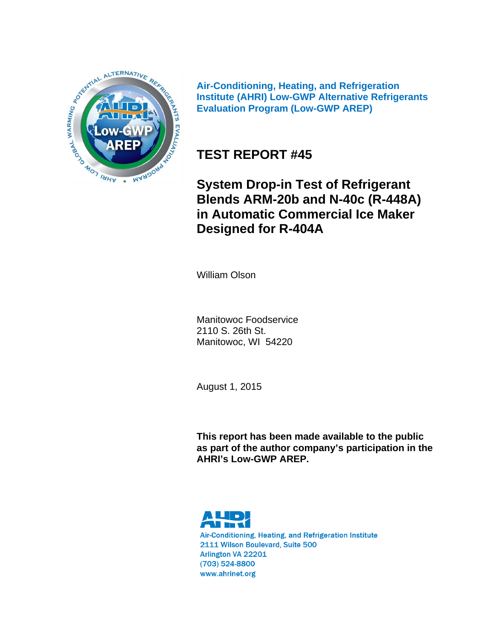

**Air-Conditioning, Heating, and Refrigeration Institute (AHRI) Low-GWP Alternative Refrigerants Evaluation Program (Low-GWP AREP)** 

# **TEST REPORT #45**

**System Drop-in Test of Refrigerant Blends ARM-20b and N-40c (R-448A) in Automatic Commercial Ice Maker Designed for R-404A**

William Olson

Manitowoc Foodservice 2110 S. 26th St. Manitowoc, WI 54220

August 1, 2015

**This report has been made available to the public as part of the author company's participation in the AHRI's Low-GWP AREP.** 



Air-Conditioning, Heating, and Refrigeration Institute 2111 Wilson Boulevard, Suite 500 Arlington VA 22201  $(703)$  524-8800 www.ahrinet.org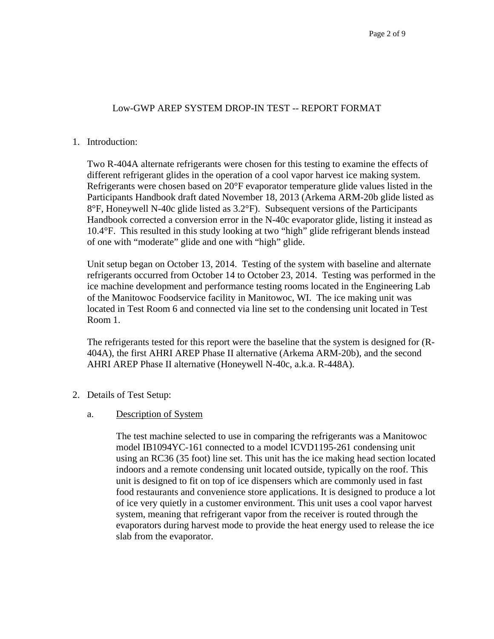### Low-GWP AREP SYSTEM DROP-IN TEST -- REPORT FORMAT

#### 1. Introduction:

Two R-404A alternate refrigerants were chosen for this testing to examine the effects of different refrigerant glides in the operation of a cool vapor harvest ice making system. Refrigerants were chosen based on 20°F evaporator temperature glide values listed in the Participants Handbook draft dated November 18, 2013 (Arkema ARM-20b glide listed as 8°F, Honeywell N-40c glide listed as 3.2°F). Subsequent versions of the Participants Handbook corrected a conversion error in the N-40c evaporator glide, listing it instead as 10.4°F. This resulted in this study looking at two "high" glide refrigerant blends instead of one with "moderate" glide and one with "high" glide.

Unit setup began on October 13, 2014. Testing of the system with baseline and alternate refrigerants occurred from October 14 to October 23, 2014. Testing was performed in the ice machine development and performance testing rooms located in the Engineering Lab of the Manitowoc Foodservice facility in Manitowoc, WI. The ice making unit was located in Test Room 6 and connected via line set to the condensing unit located in Test Room 1.

The refrigerants tested for this report were the baseline that the system is designed for (R-404A), the first AHRI AREP Phase II alternative (Arkema ARM-20b), and the second AHRI AREP Phase II alternative (Honeywell N-40c, a.k.a. R-448A).

2. Details of Test Setup:

#### a. Description of System

The test machine selected to use in comparing the refrigerants was a Manitowoc model IB1094YC-161 connected to a model ICVD1195-261 condensing unit using an RC36 (35 foot) line set. This unit has the ice making head section located indoors and a remote condensing unit located outside, typically on the roof. This unit is designed to fit on top of ice dispensers which are commonly used in fast food restaurants and convenience store applications. It is designed to produce a lot of ice very quietly in a customer environment. This unit uses a cool vapor harvest system, meaning that refrigerant vapor from the receiver is routed through the evaporators during harvest mode to provide the heat energy used to release the ice slab from the evaporator.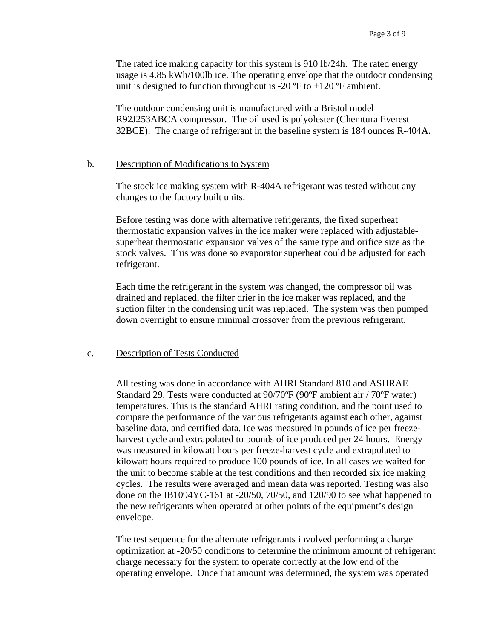The rated ice making capacity for this system is 910 lb/24h. The rated energy usage is 4.85 kWh/100lb ice. The operating envelope that the outdoor condensing unit is designed to function throughout is -20  $\textdegree$ F to +120  $\textdegree$ F ambient.

The outdoor condensing unit is manufactured with a Bristol model R92J253ABCA compressor. The oil used is polyolester (Chemtura Everest 32BCE). The charge of refrigerant in the baseline system is 184 ounces R-404A.

#### b. Description of Modifications to System

The stock ice making system with R-404A refrigerant was tested without any changes to the factory built units.

Before testing was done with alternative refrigerants, the fixed superheat thermostatic expansion valves in the ice maker were replaced with adjustablesuperheat thermostatic expansion valves of the same type and orifice size as the stock valves. This was done so evaporator superheat could be adjusted for each refrigerant.

Each time the refrigerant in the system was changed, the compressor oil was drained and replaced, the filter drier in the ice maker was replaced, and the suction filter in the condensing unit was replaced. The system was then pumped down overnight to ensure minimal crossover from the previous refrigerant.

#### c. Description of Tests Conducted

All testing was done in accordance with AHRI Standard 810 and ASHRAE Standard 29. Tests were conducted at 90/70ºF (90ºF ambient air / 70ºF water) temperatures. This is the standard AHRI rating condition, and the point used to compare the performance of the various refrigerants against each other, against baseline data, and certified data. Ice was measured in pounds of ice per freezeharvest cycle and extrapolated to pounds of ice produced per 24 hours. Energy was measured in kilowatt hours per freeze-harvest cycle and extrapolated to kilowatt hours required to produce 100 pounds of ice. In all cases we waited for the unit to become stable at the test conditions and then recorded six ice making cycles. The results were averaged and mean data was reported. Testing was also done on the IB1094YC-161 at  $-20/50$ , 70/50, and 120/90 to see what happened to the new refrigerants when operated at other points of the equipment's design envelope.

The test sequence for the alternate refrigerants involved performing a charge optimization at -20/50 conditions to determine the minimum amount of refrigerant charge necessary for the system to operate correctly at the low end of the operating envelope. Once that amount was determined, the system was operated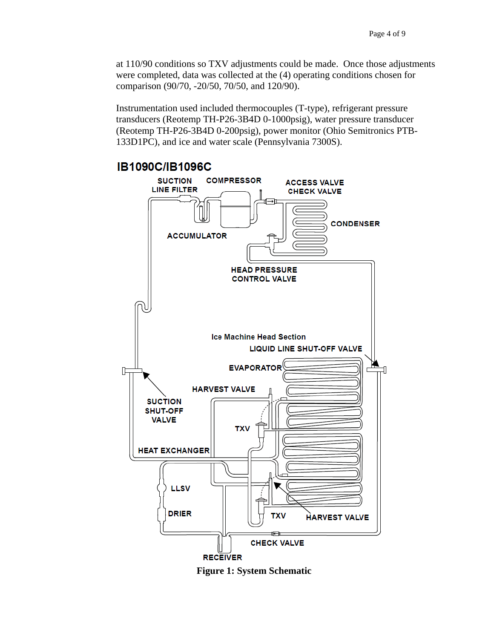at 110/90 conditions so TXV adjustments could be made. Once those adjustments were completed, data was collected at the (4) operating conditions chosen for comparison (90/70, -20/50, 70/50, and 120/90).

Instrumentation used included thermocouples (T-type), refrigerant pressure transducers (Reotemp TH-P26-3B4D 0-1000psig), water pressure transducer (Reotemp TH-P26-3B4D 0-200psig), power monitor (Ohio Semitronics PTB-133D1PC), and ice and water scale (Pennsylvania 7300S).



**Figure 1: System Schematic**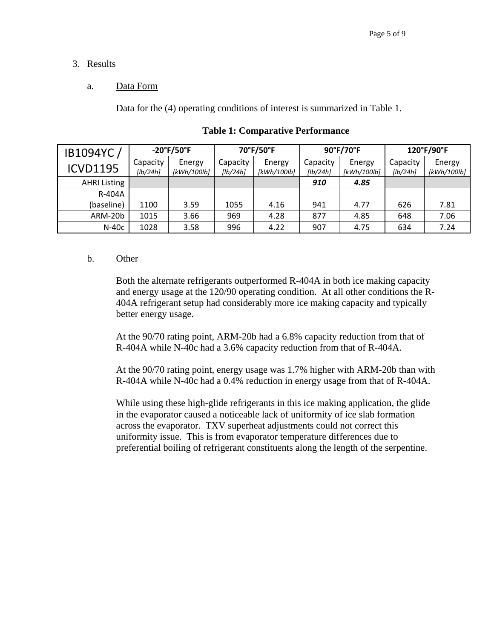### 3. Results

### a. Data Form

Data for the (4) operating conditions of interest is summarized in Table 1.

| IB1094YC/           | $-20^{\circ}$ F/50 $^{\circ}$ F |                       | 70°F/50°F            |                       |                      | 90°F/70°F             | 120°F/90°F           |                       |
|---------------------|---------------------------------|-----------------------|----------------------|-----------------------|----------------------|-----------------------|----------------------|-----------------------|
| <b>ICVD1195</b>     | Capacity<br>[lb/24hl]           | Energy<br>[kWh/100lb] | Capacity<br>[lb/24h] | Energy<br>[kWh/100lb] | Capacity<br>[lb/24h] | Energy<br>[kWh/100lb] | Capacity<br>[lb/24h] | Energy<br>[kWh/100lb] |
| <b>AHRI Listing</b> |                                 |                       |                      |                       | 910                  | 4.85                  |                      |                       |
| R-404A              |                                 |                       |                      |                       |                      |                       |                      |                       |
| (baseline)          | 1100                            | 3.59                  | 1055                 | 4.16                  | 941                  | 4.77                  | 626                  | 7.81                  |
| ARM-20b             | 1015                            | 3.66                  | 969                  | 4.28                  | 877                  | 4.85                  | 648                  | 7.06                  |
| $N-40c$             | 1028                            | 3.58                  | 996                  | 4.22                  | 907                  | 4.75                  | 634                  | 7.24                  |

**Table 1: Comparative Performance** 

#### b. Other

Both the alternate refrigerants outperformed R-404A in both ice making capacity and energy usage at the 120/90 operating condition. At all other conditions the R-404A refrigerant setup had considerably more ice making capacity and typically better energy usage.

At the 90/70 rating point, ARM-20b had a 6.8% capacity reduction from that of R-404A while N-40c had a 3.6% capacity reduction from that of R-404A.

At the 90/70 rating point, energy usage was 1.7% higher with ARM-20b than with R-404A while N-40c had a 0.4% reduction in energy usage from that of R-404A.

While using these high-glide refrigerants in this ice making application, the glide in the evaporator caused a noticeable lack of uniformity of ice slab formation across the evaporator. TXV superheat adjustments could not correct this uniformity issue. This is from evaporator temperature differences due to preferential boiling of refrigerant constituents along the length of the serpentine.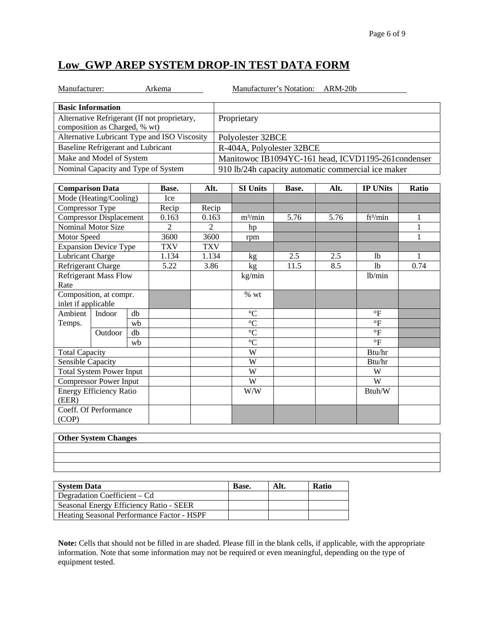# **Low\_GWP AREP SYSTEM DROP-IN TEST DATA FORM**

na Manufacturer's Notation: ARM-20b

| <b>Basic Information</b>                                                      |                                                     |
|-------------------------------------------------------------------------------|-----------------------------------------------------|
| Alternative Refrigerant (If not proprietary,<br>composition as Charged, % wt) | Proprietary                                         |
| Alternative Lubricant Type and ISO Viscosity                                  | Polyolester 32BCE                                   |
| Baseline Refrigerant and Lubricant                                            | R-404A, Polyolester 32BCE                           |
| Make and Model of System                                                      | Manitowoc IB1094YC-161 head, ICVD1195-261 condenser |
| Nominal Capacity and Type of System                                           | 910 lb/24h capacity automatic commercial ice maker  |

| <b>Comparison Data</b>          |                                |    | Base.      | Alt.       | <b>SI Units</b>     | Base. | Alt. | <b>IP UNits</b>      | Ratio |
|---------------------------------|--------------------------------|----|------------|------------|---------------------|-------|------|----------------------|-------|
| Mode (Heating/Cooling)          |                                |    | Ice        |            |                     |       |      |                      |       |
| Compressor Type                 |                                |    | Recip      | Recip      |                     |       |      |                      |       |
|                                 | <b>Compressor Displacement</b> |    | 0.163      | 0.163      | m <sup>3</sup> /min | 5.76  | 5.76 | ft <sup>3</sup> /min | 1     |
|                                 | <b>Nominal Motor Size</b>      |    | 2          | 2          | hp                  |       |      |                      |       |
| Motor Speed                     |                                |    | 3600       | 3600       | rpm                 |       |      |                      | 1     |
|                                 | <b>Expansion Device Type</b>   |    | <b>TXV</b> | <b>TXV</b> |                     |       |      |                      |       |
| Lubricant Charge                |                                |    | 1.134      | 1.134      | kg                  | 2.5   | 2.5  | 1 <sub>b</sub>       |       |
|                                 | Refrigerant Charge             |    | 5.22       | 3.86       | kg                  | 11.5  | 8.5  | 1 <sub>b</sub>       | 0.74  |
|                                 | <b>Refrigerant Mass Flow</b>   |    |            |            | kg/min              |       |      | lb/min               |       |
| Rate                            |                                |    |            |            |                     |       |      |                      |       |
|                                 | Composition, at compr.         |    |            |            | % wt                |       |      |                      |       |
| inlet if applicable             |                                |    |            |            |                     |       |      |                      |       |
| Ambient                         | Indoor                         | db |            |            | $\rm ^{\circ}C$     |       |      | $\mathrm{P}$         |       |
| Temps.                          |                                | wb |            |            | $\rm ^{\circ}C$     |       |      | $\mathrm{P}$         |       |
|                                 | Outdoor                        | db |            |            | $^{\circ}C$         |       |      | $\circ$ F            |       |
|                                 |                                | wh |            |            | $\rm ^{\circ}C$     |       |      | $\circ$ F            |       |
| <b>Total Capacity</b>           |                                |    |            |            | W                   |       |      | Btu/hr               |       |
| Sensible Capacity               |                                |    |            |            | W                   |       |      | Btu/hr               |       |
| <b>Total System Power Input</b> |                                |    |            | W          |                     |       | W    |                      |       |
| <b>Compressor Power Input</b>   |                                |    |            | W          |                     |       | W    |                      |       |
| <b>Energy Efficiency Ratio</b>  |                                |    |            |            | W/W                 |       |      | Btuh/W               |       |
| (EER)                           |                                |    |            |            |                     |       |      |                      |       |
|                                 | Coeff. Of Performance          |    |            |            |                     |       |      |                      |       |
| (COP)                           |                                |    |            |            |                     |       |      |                      |       |

#### **Other System Changes**

| <b>System Data</b>                         | Base. | Alt. | <b>Ratio</b> |
|--------------------------------------------|-------|------|--------------|
| Degradation Coefficient – Cd               |       |      |              |
| Seasonal Energy Efficiency Ratio - SEER    |       |      |              |
| Heating Seasonal Performance Factor - HSPF |       |      |              |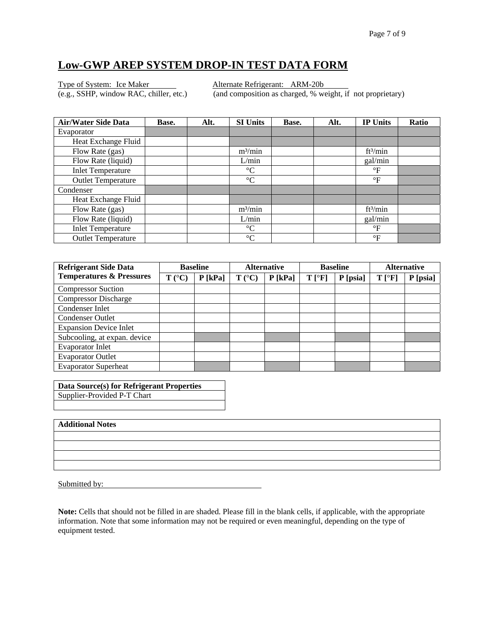# **Low-GWP AREP SYSTEM DROP-IN TEST DATA FORM**

Type of System: Ice Maker Alternate Refrigerant: ARM-20b

(e.g., SSHP, window RAC, chiller, etc.) (and composition as charged, % weight, if not proprietary)

| <b>Air/Water Side Data</b> | Base. | Alt. | <b>SI Units</b>     | Base. | Alt. | <b>IP Units</b>      | Ratio |
|----------------------------|-------|------|---------------------|-------|------|----------------------|-------|
| Evaporator                 |       |      |                     |       |      |                      |       |
| Heat Exchange Fluid        |       |      |                     |       |      |                      |       |
| Flow Rate (gas)            |       |      | m <sup>3</sup> /min |       |      | ft <sup>3</sup> /min |       |
| Flow Rate (liquid)         |       |      | L/min               |       |      | gal/min              |       |
| <b>Inlet Temperature</b>   |       |      | $\rm ^{\circ}C$     |       |      | $\rm ^{\circ}F$      |       |
| <b>Outlet Temperature</b>  |       |      | $\rm ^{\circ}C$     |       |      | $\mathsf{P}$         |       |
| Condenser                  |       |      |                     |       |      |                      |       |
| Heat Exchange Fluid        |       |      |                     |       |      |                      |       |
| Flow Rate (gas)            |       |      | m <sup>3</sup> /min |       |      | ft <sup>3</sup> /min |       |
| Flow Rate (liquid)         |       |      | L/min               |       |      | gal/min              |       |
| <b>Inlet Temperature</b>   |       |      | $\rm ^{\circ}C$     |       |      | $\rm ^{\circ}F$      |       |
| <b>Outlet Temperature</b>  |       |      | $\rm ^{\circ}C$     |       |      | $\rm ^{\circ}F$      |       |

| <b>Refrigerant Side Data</b>        | <b>Baseline</b> |           | <b>Alternative</b> |           | <b>Baseline</b> |          | <b>Alternative</b> |          |
|-------------------------------------|-----------------|-----------|--------------------|-----------|-----------------|----------|--------------------|----------|
| <b>Temperatures &amp; Pressures</b> | $T (^{\circ}C)$ | $P$ [kPa] | $T (^{\circ}C)$    | $P$ [kPa] | $T[^{\circ}F]$  | P [psia] | $T[^{\circ}F]$     | P [psia] |
| <b>Compressor Suction</b>           |                 |           |                    |           |                 |          |                    |          |
| <b>Compressor Discharge</b>         |                 |           |                    |           |                 |          |                    |          |
| Condenser Inlet                     |                 |           |                    |           |                 |          |                    |          |
| <b>Condenser Outlet</b>             |                 |           |                    |           |                 |          |                    |          |
| <b>Expansion Device Inlet</b>       |                 |           |                    |           |                 |          |                    |          |
| Subcooling, at expan. device        |                 |           |                    |           |                 |          |                    |          |
| <b>Evaporator Inlet</b>             |                 |           |                    |           |                 |          |                    |          |
| <b>Evaporator Outlet</b>            |                 |           |                    |           |                 |          |                    |          |
| <b>Evaporator Superheat</b>         |                 |           |                    |           |                 |          |                    |          |

| Data Source(s) for Refrigerant Properties |  |
|-------------------------------------------|--|
| Supplier-Provided P-T Chart               |  |
|                                           |  |

| <b>Additional Notes</b> |
|-------------------------|
|-------------------------|

Submitted by: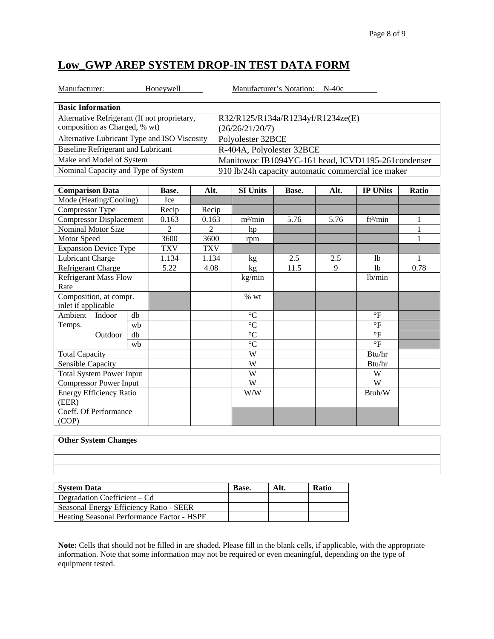# **Low\_GWP AREP SYSTEM DROP-IN TEST DATA FORM**

| Manufacturer:<br>Honeywell                   | Manufacturer's Notation: N-40c                      |
|----------------------------------------------|-----------------------------------------------------|
|                                              |                                                     |
| <b>Basic Information</b>                     |                                                     |
| Alternative Refrigerant (If not proprietary, | R32/R125/R134a/R1234yf/R1234ze(E)                   |
| composition as Charged, % wt)                | (26/26/21/20/7)                                     |
| Alternative Lubricant Type and ISO Viscosity | Polyolester 32BCE                                   |
| Baseline Refrigerant and Lubricant           | R-404A, Polyolester 32BCE                           |
| Make and Model of System                     | Manitowoc IB1094YC-161 head, ICVD1195-261 condenser |
| Nominal Capacity and Type of System          | 910 lb/24h capacity automatic commercial ice maker  |

| <b>Comparison Data</b>          |                                |    | Base.          | Alt.       | <b>SI Units</b> | Base. | Alt. | <b>IP UNits</b>         | Ratio |
|---------------------------------|--------------------------------|----|----------------|------------|-----------------|-------|------|-------------------------|-------|
| Mode (Heating/Cooling)          |                                |    | Ice            |            |                 |       |      |                         |       |
| Compressor Type                 |                                |    | Recip          | Recip      |                 |       |      |                         |       |
|                                 | <b>Compressor Displacement</b> |    | 0.163          | 0.163      | $m^3/min$       | 5.76  | 5.76 | ft <sup>3</sup> /min    | 1     |
|                                 | Nominal Motor Size             |    | $\overline{c}$ | 2          | hp              |       |      |                         |       |
| Motor Speed                     |                                |    | 3600           | 3600       | rpm             |       |      |                         | 1     |
|                                 | <b>Expansion Device Type</b>   |    | <b>TXV</b>     | <b>TXV</b> |                 |       |      |                         |       |
| Lubricant Charge                |                                |    | 1.134          | 1.134      | kg              | 2.5   | 2.5  | 1 <sub>b</sub>          |       |
|                                 | Refrigerant Charge             |    | 5.22           | 4.08       | kg              | 11.5  | 9    | 1 <sub>b</sub>          | 0.78  |
|                                 | <b>Refrigerant Mass Flow</b>   |    |                |            | kg/min          |       |      | lb/min                  |       |
| Rate                            |                                |    |                |            |                 |       |      |                         |       |
|                                 | Composition, at compr.         |    |                |            | % wt            |       |      |                         |       |
| inlet if applicable             |                                |    |                |            |                 |       |      |                         |       |
| Ambient                         | Indoor                         | db |                |            | $\rm ^{\circ}C$ |       |      | $\mathrm{P}$            |       |
| Temps.                          |                                | wb |                |            | $\rm ^{\circ}C$ |       |      | $\circ$ F               |       |
|                                 | Outdoor                        | db |                |            | $\rm ^{\circ}C$ |       |      | $\overline{\mathrm{F}}$ |       |
|                                 |                                | wb |                |            | $\rm ^{\circ}C$ |       |      | $\overline{\mathrm{F}}$ |       |
| <b>Total Capacity</b>           |                                |    |                |            | W               |       |      | Btu/hr                  |       |
| Sensible Capacity               |                                |    |                |            | W               |       |      | Btu/hr                  |       |
| <b>Total System Power Input</b> |                                |    |                | W          |                 |       | W    |                         |       |
| <b>Compressor Power Input</b>   |                                |    |                | W          |                 |       | W    |                         |       |
| <b>Energy Efficiency Ratio</b>  |                                |    |                |            | W/W             |       |      | Btuh/W                  |       |
| (EER)                           |                                |    |                |            |                 |       |      |                         |       |
|                                 | Coeff. Of Performance          |    |                |            |                 |       |      |                         |       |
| (COP)                           |                                |    |                |            |                 |       |      |                         |       |

#### **Other System Changes**

| <b>Other System Changes</b> |  |  |  |  |  |  |  |
|-----------------------------|--|--|--|--|--|--|--|
|                             |  |  |  |  |  |  |  |
|                             |  |  |  |  |  |  |  |
|                             |  |  |  |  |  |  |  |
|                             |  |  |  |  |  |  |  |

| <b>System Data</b>                         | <b>Base.</b> | Alt. | <b>Ratio</b> |
|--------------------------------------------|--------------|------|--------------|
| Degradation Coefficient – Cd               |              |      |              |
| Seasonal Energy Efficiency Ratio - SEER    |              |      |              |
| Heating Seasonal Performance Factor - HSPF |              |      |              |